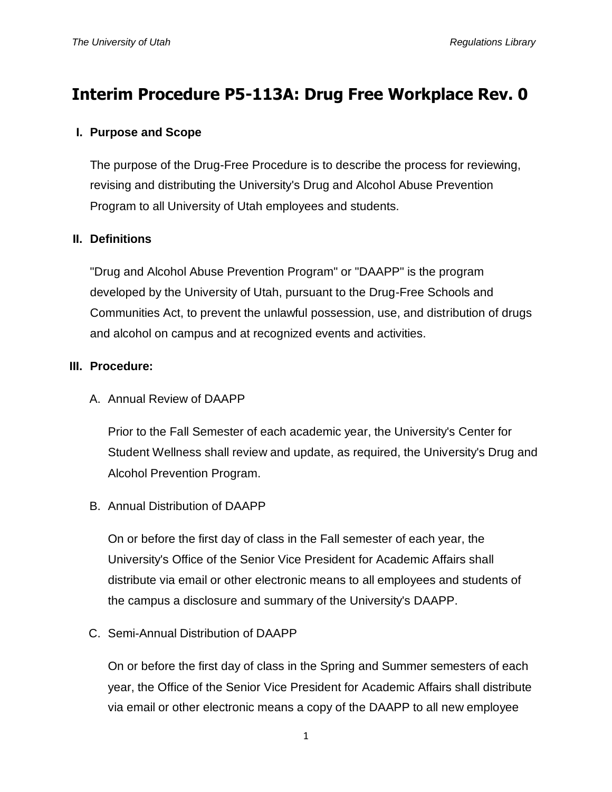# **Interim Procedure P5-113A: Drug Free Workplace Rev. 0**

#### **I. Purpose and Scope**

The purpose of the Drug-Free Procedure is to describe the process for reviewing, revising and distributing the University's Drug and Alcohol Abuse Prevention Program to all University of Utah employees and students.

## **II. Definitions**

"Drug and Alcohol Abuse Prevention Program" or "DAAPP" is the program developed by the University of Utah, pursuant to the Drug-Free Schools and Communities Act, to prevent the unlawful possession, use, and distribution of drugs and alcohol on campus and at recognized events and activities.

#### **III. Procedure:**

A. Annual Review of DAAPP

Prior to the Fall Semester of each academic year, the University's Center for Student Wellness shall review and update, as required, the University's Drug and Alcohol Prevention Program.

B. Annual Distribution of DAAPP

On or before the first day of class in the Fall semester of each year, the University's Office of the Senior Vice President for Academic Affairs shall distribute via email or other electronic means to all employees and students of the campus a disclosure and summary of the University's DAAPP.

C. Semi-Annual Distribution of DAAPP

On or before the first day of class in the Spring and Summer semesters of each year, the Office of the Senior Vice President for Academic Affairs shall distribute via email or other electronic means a copy of the DAAPP to all new employee